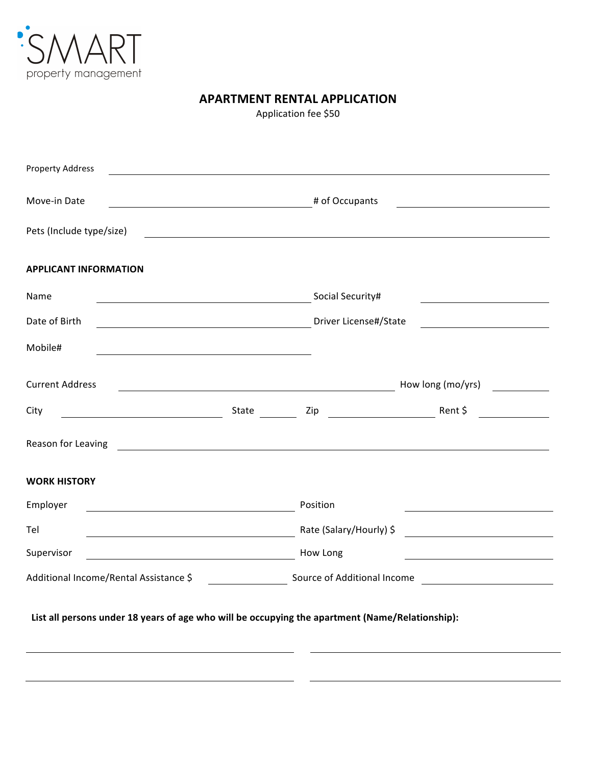

## **APARTMENT RENTAL APPLICATION**

Application fee \$50

| <b>Property Address</b>                                                                                                       |                                                                                    |                                                      |
|-------------------------------------------------------------------------------------------------------------------------------|------------------------------------------------------------------------------------|------------------------------------------------------|
| Move-in Date<br># of Occupants                                                                                                |                                                                                    |                                                      |
| Pets (Include type/size)                                                                                                      |                                                                                    |                                                      |
| <b>APPLICANT INFORMATION</b>                                                                                                  |                                                                                    |                                                      |
| Name<br><u> 1989 - Johann Barnett, fransk politik (d. 1989)</u>                                                               | Social Security#                                                                   |                                                      |
| Date of Birth                                                                                                                 | Driver License#/State<br><u> 1980 - Johann Barbara, martxa a shekara 1980 - An</u> |                                                      |
| Mobile#                                                                                                                       |                                                                                    |                                                      |
| <b>Current Address</b>                                                                                                        | How long (mo/yrs)                                                                  |                                                      |
| City<br>State                                                                                                                 | Zip                                                                                | Rent \$<br><u>and the community of the community</u> |
| Reason for Leaving                                                                                                            |                                                                                    |                                                      |
| <b>WORK HISTORY</b>                                                                                                           |                                                                                    |                                                      |
| Employer                                                                                                                      | Position                                                                           |                                                      |
| Tel<br><u> 1989 - Johann Stoff, deutscher Stoffen und der Stoffen und der Stoffen und der Stoffen und der Stoffen und der</u> | Rate (Salary/Hourly) \$<br><u> 1989 - Andrea State Barbara, amerikan per</u>       |                                                      |
| Supervisor                                                                                                                    | How Long                                                                           |                                                      |
| Additional Income/Rental Assistance \$                                                                                        | Source of Additional Income                                                        |                                                      |
| List all persons under 18 years of age who will be occupying the apartment (Name/Relationship):                               |                                                                                    |                                                      |